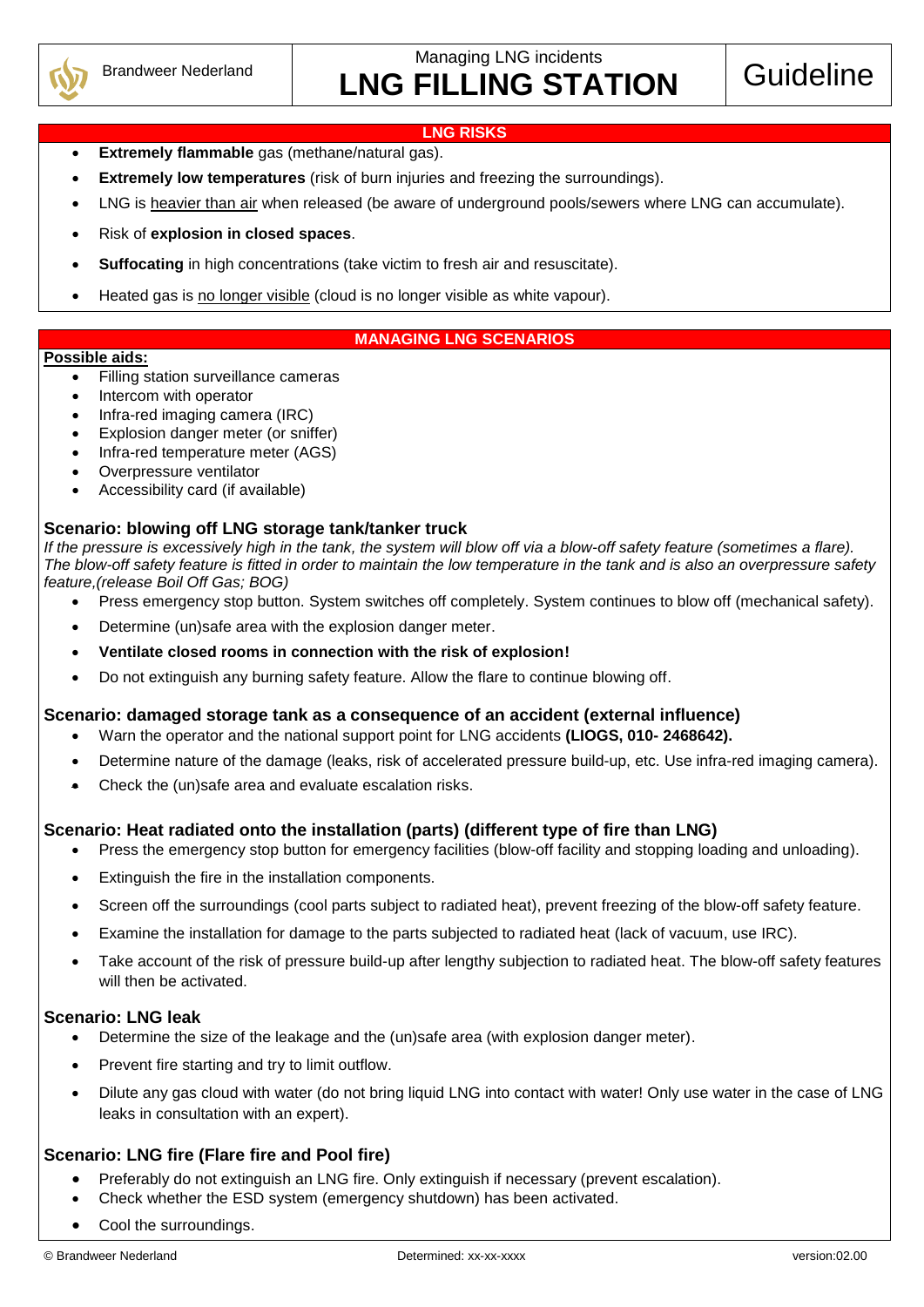

Managing LNG incidents

# LNG FILLING STATION Guideline

#### **LNG RISKS**

- **Extremely flammable** gas (methane/natural gas).
- **Extremely low temperatures** (risk of burn injuries and freezing the surroundings).
- LNG is heavier than air when released (be aware of underground pools/sewers where LNG can accumulate).
- Risk of **explosion in closed spaces**.
- **Suffocating** in high concentrations (take victim to fresh air and resuscitate).
- Heated gas is no longer visible (cloud is no longer visible as white vapour).

#### **MANAGING LNG SCENARIOS**

#### **Possible aids:**

- Filling station surveillance cameras
- Intercom with operator
- Infra-red imaging camera (IRC)
- Explosion danger meter (or sniffer)
- Infra-red temperature meter (AGS)
- Overpressure ventilator
- Accessibility card (if available)

#### **Scenario: blowing off LNG storage tank/tanker truck**

*If the pressure is excessively high in the tank, the system will blow off via a blow-off safety feature (sometimes a flare). The blow-off safety feature is fitted in order to maintain the low temperature in the tank and is also an overpressure safety feature,(release Boil Off Gas; BOG)*

- Press emergency stop button. System switches off completely. System continues to blow off (mechanical safety).
- Determine (un)safe area with the explosion danger meter.
- **Ventilate closed rooms in connection with the risk of explosion!**
- Do not extinguish any burning safety feature. Allow the flare to continue blowing off.

#### **Scenario: damaged storage tank as a consequence of an accident (external influence)**

- Warn the operator and the national support point for LNG accidents **(LIOGS, 010- 2468642).**
- Determine nature of the damage (leaks, risk of accelerated pressure build-up, etc. Use infra-red imaging camera).
- Check the (un)safe area and evaluate escalation risks.

# **Scenario: Heat radiated onto the installation (parts) (different type of fire than LNG)**

- Press the emergency stop button for emergency facilities (blow-off facility and stopping loading and unloading).
- Extinguish the fire in the installation components.
- Screen off the surroundings (cool parts subject to radiated heat), prevent freezing of the blow-off safety feature.
- Examine the installation for damage to the parts subjected to radiated heat (lack of vacuum, use IRC).
- Take account of the risk of pressure build-up after lengthy subjection to radiated heat. The blow-off safety features will then be activated.

#### **Scenario: LNG leak**

- Determine the size of the leakage and the (un)safe area (with explosion danger meter).
- Prevent fire starting and try to limit outflow.
- Dilute any gas cloud with water (do not bring liquid LNG into contact with water! Only use water in the case of LNG leaks in consultation with an expert).

# **Scenario: LNG fire (Flare fire and Pool fire)**

- Preferably do not extinguish an LNG fire. Only extinguish if necessary (prevent escalation).
- Check whether the ESD system (emergency shutdown) has been activated.
- Cool the surroundings.